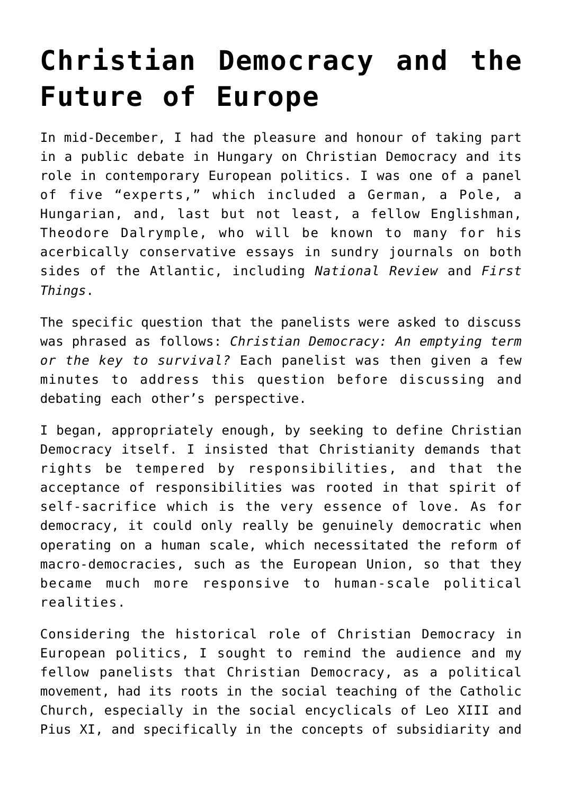## **[Christian Democracy and the](https://intellectualtakeout.org/2020/01/christian-democracy-and-the-future-of-europe/) [Future of Europe](https://intellectualtakeout.org/2020/01/christian-democracy-and-the-future-of-europe/)**

In mid-December, I had the pleasure and honour of taking part in a public debate in Hungary on Christian Democracy and its role in contemporary European politics. I was one of a panel of five "experts," which included a German, a Pole, a Hungarian, and, last but not least, a fellow Englishman, Theodore Dalrymple, who will be known to many for his acerbically conservative essays in sundry journals on both sides of the Atlantic, including *National Review* and *First Things*.

The specific question that the panelists were asked to discuss was phrased as follows: *Christian Democracy: An emptying term or the key to survival?* Each panelist was then given a few minutes to address this question before discussing and debating each other's perspective.

I began, appropriately enough, by seeking to define Christian Democracy itself. I insisted that Christianity demands that rights be tempered by responsibilities, and that the acceptance of responsibilities was rooted in that spirit of self-sacrifice which is the very essence of love. As for democracy, it could only really be genuinely democratic when operating on a human scale, which necessitated the reform of macro-democracies, such as the European Union, so that they became much more responsive to human-scale political realities.

Considering the historical role of Christian Democracy in European politics, I sought to remind the audience and my fellow panelists that Christian Democracy, as a political movement, had its roots in the social teaching of the Catholic Church, especially in the social encyclicals of Leo XIII and Pius XI, and specifically in the concepts of subsidiarity and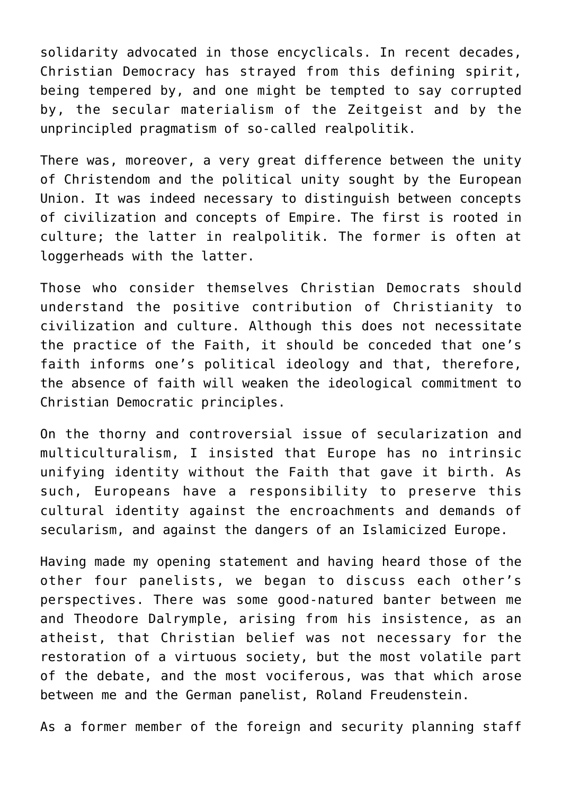solidarity advocated in those encyclicals. In recent decades, Christian Democracy has strayed from this defining spirit, being tempered by, and one might be tempted to say corrupted by, the secular materialism of the Zeitgeist and by the unprincipled pragmatism of so-called realpolitik.

There was, moreover, a very great difference between the unity of Christendom and the political unity sought by the European Union. It was indeed necessary to distinguish between concepts of civilization and concepts of Empire. The first is rooted in culture; the latter in realpolitik. The former is often at loggerheads with the latter.

Those who consider themselves Christian Democrats should understand the positive contribution of Christianity to civilization and culture. Although this does not necessitate the practice of the Faith, it should be conceded that one's faith informs one's political ideology and that, therefore, the absence of faith will weaken the ideological commitment to Christian Democratic principles.

On the thorny and controversial issue of secularization and multiculturalism, I insisted that Europe has no intrinsic unifying identity without the Faith that gave it birth. As such, Europeans have a responsibility to preserve this cultural identity against the encroachments and demands of secularism, and against the dangers of an Islamicized Europe.

Having made my opening statement and having heard those of the other four panelists, we began to discuss each other's perspectives. There was some good-natured banter between me and Theodore Dalrymple, arising from his insistence, as an atheist, that Christian belief was not necessary for the restoration of a virtuous society, but the most volatile part of the debate, and the most vociferous, was that which arose between me and the German panelist, Roland Freudenstein.

As a former member of the foreign and security planning staff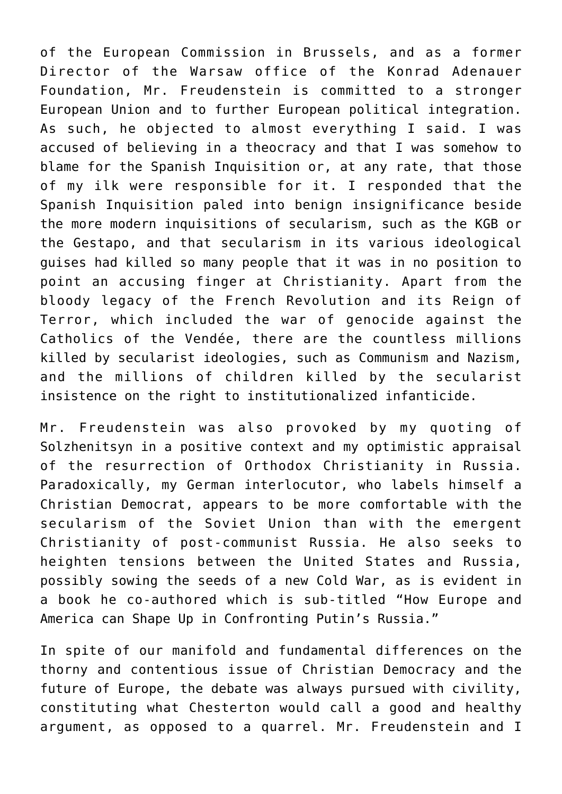of the European Commission in Brussels, and as a former Director of the Warsaw office of the Konrad Adenauer Foundation, Mr. Freudenstein is committed to a stronger European Union and to further European political integration. As such, he objected to almost everything I said. I was accused of believing in a theocracy and that I was somehow to blame for the Spanish Inquisition or, at any rate, that those of my ilk were responsible for it. I responded that the Spanish Inquisition paled into benign insignificance beside the more modern inquisitions of secularism, such as the KGB or the Gestapo, and that secularism in its various ideological guises had killed so many people that it was in no position to point an accusing finger at Christianity. Apart from the bloody legacy of the French Revolution and its Reign of Terror, which included the war of genocide against the Catholics of the Vendée, there are the countless millions killed by secularist ideologies, such as Communism and Nazism, and the millions of children killed by the secularist insistence on the right to institutionalized infanticide.

Mr. Freudenstein was also provoked by my quoting of Solzhenitsyn in a positive context and my optimistic appraisal of the resurrection of Orthodox Christianity in Russia. Paradoxically, my German interlocutor, who labels himself a Christian Democrat, appears to be more comfortable with the secularism of the Soviet Union than with the emergent Christianity of post-communist Russia. He also seeks to heighten tensions between the United States and Russia, possibly sowing the seeds of a new Cold War, as is evident in a book he co-authored which is sub-titled "How Europe and America can Shape Up in Confronting Putin's Russia."

In spite of our manifold and fundamental differences on the thorny and contentious issue of Christian Democracy and the future of Europe, the debate was always pursued with civility, constituting what Chesterton would call a good and healthy argument, as opposed to a quarrel. Mr. Freudenstein and I